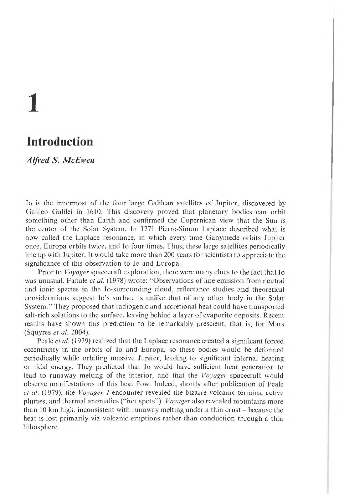## **1**

## **Introduction**

*Alfred S. McEwen* 

Io is the innermost of the four large Galilean satellites of Jupiter, discovered by Galileo Galilei in 1610. This discovery proved that planetary bodies can orbit something other than Earth and confirmed the Copernican view that the Sun is the center of the Solar System. In 1771 Pierre-Simon Laplace described what is now called the Laplace resonance, in which every time Ganymede orbits Jupiter once, Europa orbits twice, and Io four times. Thus, these large satellites periodically line up with Jupiter. It would take more than 200 years for scientists to appreciate the significance of this observation to Io and Europa.

Prior to *Voyager* spacecraft exploration, there were many clues to the fact that Io was unusual. Fanale et al. (1978) wrote: "Observations of line emission from neutral and ionic species in the Io-surrounding cloud, reflectance studies and theoretical considerations suggest Io's surface is unlike that of any other body in the Solar System." They proposed that radiogenic and accretional heat could have transported salt-rich solutions to the surface, leaving behind a layer of evaporite deposits. Recent results have shown this prediction to be remarkably prescient, that is, for Mars (Squyres *et al.* 2004).

Peale *et al.* (1979) realized that the Laplace resonance created a significant forced eccentricity in the orbits of Io and Europa, so these bodies would be deformed periodically while orbiting massive Jupiter, leading to significant internal heating or tidal energy. They predicted that Io would have sufficient heat generation to lead to runaway melting of the interior, and that the *Voyager* spacecraft would observe manifestations of this heat flow. Indeed, shortly after publication of Peale *et al.* (1979), the *Voyager 1* encounter revealed the bizarre volcanic terrains, active plumes, and thermal anomalies ("hot spots"). *Voyager* also revealed mountains more than 10 km high, inconsistent with runaway melting under a thin crust  $-$  because the heat is lost primarily via volcanic eruptions rather than conduction through a thin lithosphere.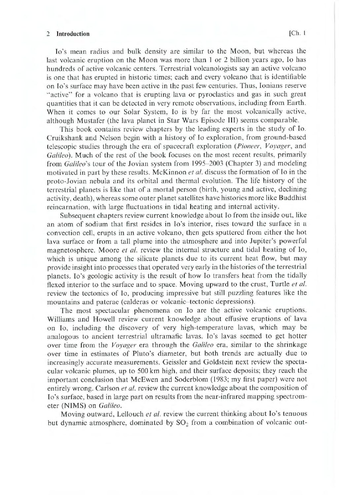## 2 **Introduction** [Ch. I

Io's mean radius and bulk density are similar to the Moon, but whereas the last volcanic eruption on the Moon was more than 1 or 2 billion years ago, Io has hundreds of active volcanic centers. Terrestrial volcanologists say an active volcano is one that has erupted in historic times; each and every volcano that is identifiable on Io's surface may have been active in the past few centuries. Thus, Ionians reserve "active" for a volcano that is erupting lava or pyroclastics and gas in such great quantities that it can be detected in very remote observations, including from Earth. When it comes to our Solar System, Io is by far the most volcanically active, although Mustafer (the lava planet in Star Wars Episode III) seems comparable.

This book contains review chapters by the leading experts in the study of Io. Cruikshank and Nelson begin with a history of Io exploration, from ground-based telescopic studies through the era of spacecraft exploration (Pioneer, Voyager, and Galileo). Much of the rest of the book focuses on the most recent results, primarily from *Galileo*'s tour of the Jovian system from 1995-2003 (Chapter 3) and modeling motivated in part by these results. McKinnon *et al.* discuss the formation of Io in the proto-Jovian nebula and its orbital and thermal evolution. The life history of the terrestrial planets is like that of a mortal person (birth, young and active, declining activity, death), whereas some outer planet satellites have histories more like Buddhist reincarnation, with large fluctuations in tidal heating and internal activity.

Subsequent chapters review current knowledge about Io from the inside out, like an atom of sodium that first resides in Io's interior, rises toward the surface in a convection cell, erupts in an active volcano, then gets sputtered from either the hot lava surface or from a tall plume into the atmosphere and into Jupiter's powerful magnetosphere. Moore *et al.* review the internal structure and tidal heating of Io, which is unique among the silicate planets due to its current heat flow, but may provide insight into processes that operated very early in the histories of the terrestrial planets. Io's geologic activity is the result of how Io transfers heat from the tidally flexed interior to the surface and to space. Moving upward to the crust, Turtle *et al.* review the tectonics of lo, producing impressive but still puzzling features like the mountains and paterae (calderas or volcanic-tectonic depressions).

The most spectacular phenomena on Io are the active volcanic eruptions. Williams and Howell review current knowledge about effusive eruptions of lava on Io, including the discovery of very high-temperature lavas, which may be analogous to ancient terrestrial ultramafic lavas. Io's lavas seemed to get hotter over time from the *Voyager* era through the *Galileo* era, similar to the shrinkage over time in estimates of Pluto's diameter, but both trends are actually due to increasingly accurate measurements. Geissler and Goldstein next review the spectacular volcanic plumes, up to 500 km high, and their surface deposits; they reach the important conclusion that McEwen and Soderblom (1983; my first paper) were not entirely wrong. Carlson *et al.* review the current knowledge about the composition of Io's surface, based in large part on results from the near-infrared mapping spectrometer **(NIMS)** on *Galileo.* 

Moving outward, Lellouch *et al.* review the current thinking about Io's tenuous but dynamic atmosphere, dominated by  $SO<sub>2</sub>$  from a combination of volcanic out